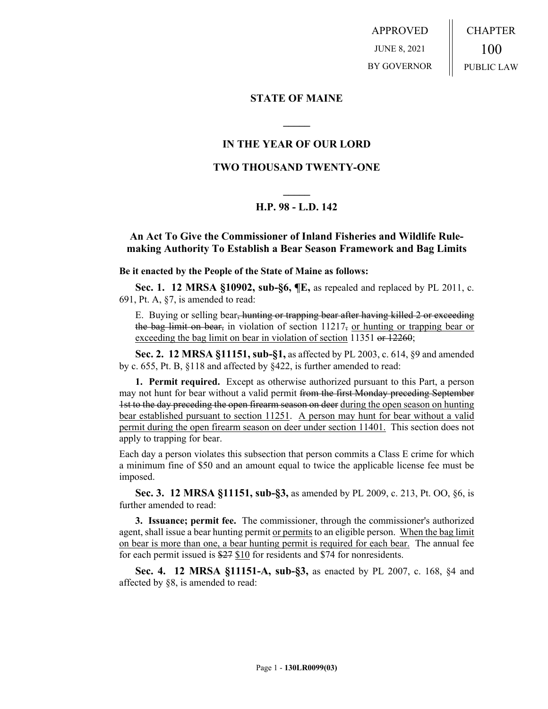APPROVED JUNE 8, 2021 BY GOVERNOR CHAPTER 100 PUBLIC LAW

**STATE OF MAINE**

## **IN THE YEAR OF OUR LORD**

**\_\_\_\_\_**

### **TWO THOUSAND TWENTY-ONE**

# **\_\_\_\_\_ H.P. 98 - L.D. 142**

### **An Act To Give the Commissioner of Inland Fisheries and Wildlife Rulemaking Authority To Establish a Bear Season Framework and Bag Limits**

**Be it enacted by the People of the State of Maine as follows:**

**Sec. 1. 12 MRSA §10902, sub-§6, ¶E,** as repealed and replaced by PL 2011, c. 691, Pt. A, §7, is amended to read:

E. Buying or selling bear, hunting or trapping bear after having killed 2 or exceeding the bag limit on bear, in violation of section  $11217<sub>5</sub>$  or hunting or trapping bear or exceeding the bag limit on bear in violation of section 11351 or 12260;

**Sec. 2. 12 MRSA §11151, sub-§1,** as affected by PL 2003, c. 614, §9 and amended by c. 655, Pt. B, §118 and affected by §422, is further amended to read:

**1. Permit required.** Except as otherwise authorized pursuant to this Part, a person may not hunt for bear without a valid permit from the first Monday preceding September 1st to the day preceding the open firearm season on deer during the open season on hunting bear established pursuant to section 11251. A person may hunt for bear without a valid permit during the open firearm season on deer under section 11401. This section does not apply to trapping for bear.

Each day a person violates this subsection that person commits a Class E crime for which a minimum fine of \$50 and an amount equal to twice the applicable license fee must be imposed.

**Sec. 3. 12 MRSA §11151, sub-§3,** as amended by PL 2009, c. 213, Pt. OO, §6, is further amended to read:

**3. Issuance; permit fee.** The commissioner, through the commissioner's authorized agent, shall issue a bear hunting permit or permits to an eligible person. When the bag limit on bear is more than one, a bear hunting permit is required for each bear. The annual fee for each permit issued is \$27 \$10 for residents and \$74 for nonresidents.

**Sec. 4. 12 MRSA §11151-A, sub-§3,** as enacted by PL 2007, c. 168, §4 and affected by §8, is amended to read: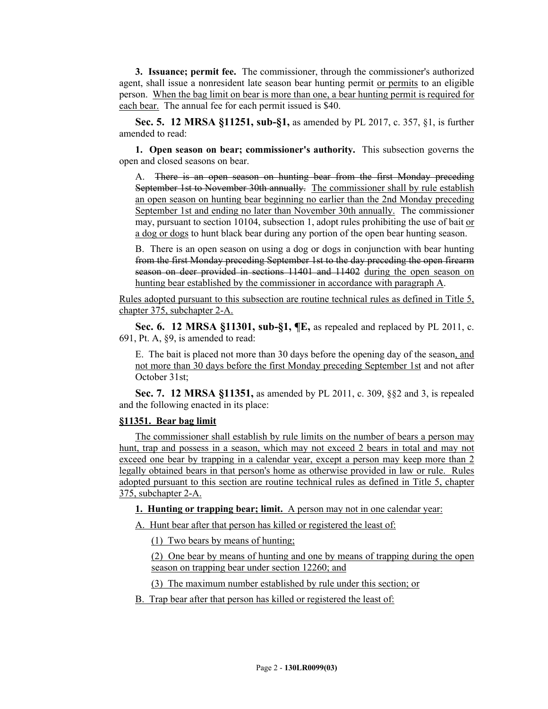**3. Issuance; permit fee.** The commissioner, through the commissioner's authorized agent, shall issue a nonresident late season bear hunting permit or permits to an eligible person. When the bag limit on bear is more than one, a bear hunting permit is required for each bear. The annual fee for each permit issued is \$40.

**Sec. 5. 12 MRSA §11251, sub-§1,** as amended by PL 2017, c. 357, §1, is further amended to read:

**1. Open season on bear; commissioner's authority.** This subsection governs the open and closed seasons on bear.

A. There is an open season on hunting bear from the first Monday preceding September 1st to November 30th annually. The commissioner shall by rule establish an open season on hunting bear beginning no earlier than the 2nd Monday preceding September 1st and ending no later than November 30th annually. The commissioner may, pursuant to section 10104, subsection 1, adopt rules prohibiting the use of bait or a dog or dogs to hunt black bear during any portion of the open bear hunting season.

B. There is an open season on using a dog or dogs in conjunction with bear hunting from the first Monday preceding September 1st to the day preceding the open firearm season on deer provided in sections 11401 and 11402 during the open season on hunting bear established by the commissioner in accordance with paragraph A.

Rules adopted pursuant to this subsection are routine technical rules as defined in Title 5, chapter 375, subchapter 2-A.

**Sec. 6. 12 MRSA §11301, sub-§1, ¶E,** as repealed and replaced by PL 2011, c. 691, Pt. A, §9, is amended to read:

E. The bait is placed not more than 30 days before the opening day of the season, and not more than 30 days before the first Monday preceding September 1st and not after October 31st;

**Sec. 7. 12 MRSA §11351,** as amended by PL 2011, c. 309, §§2 and 3, is repealed and the following enacted in its place:

#### **§11351. Bear bag limit**

The commissioner shall establish by rule limits on the number of bears a person may hunt, trap and possess in a season, which may not exceed 2 bears in total and may not exceed one bear by trapping in a calendar year, except a person may keep more than 2 legally obtained bears in that person's home as otherwise provided in law or rule. Rules adopted pursuant to this section are routine technical rules as defined in Title 5, chapter 375, subchapter 2-A.

**1. Hunting or trapping bear; limit.** A person may not in one calendar year:

A. Hunt bear after that person has killed or registered the least of:

(1) Two bears by means of hunting;

(2) One bear by means of hunting and one by means of trapping during the open season on trapping bear under section 12260; and

(3) The maximum number established by rule under this section; or

B. Trap bear after that person has killed or registered the least of: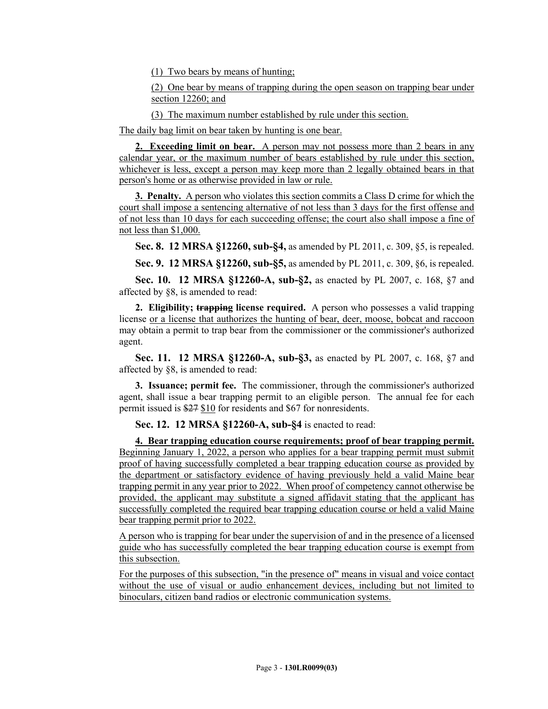(1) Two bears by means of hunting;

(2) One bear by means of trapping during the open season on trapping bear under section 12260; and

(3) The maximum number established by rule under this section.

The daily bag limit on bear taken by hunting is one bear.

**2. Exceeding limit on bear.** A person may not possess more than 2 bears in any calendar year, or the maximum number of bears established by rule under this section, whichever is less, except a person may keep more than 2 legally obtained bears in that person's home or as otherwise provided in law or rule.

**3. Penalty.** A person who violates this section commits a Class D crime for which the court shall impose a sentencing alternative of not less than 3 days for the first offense and of not less than 10 days for each succeeding offense; the court also shall impose a fine of not less than \$1,000.

**Sec. 8. 12 MRSA §12260, sub-§4,** as amended by PL 2011, c. 309, §5, is repealed.

**Sec. 9. 12 MRSA §12260, sub-§5,** as amended by PL 2011, c. 309, §6, is repealed.

**Sec. 10. 12 MRSA §12260-A, sub-§2,** as enacted by PL 2007, c. 168, §7 and affected by §8, is amended to read:

**2. Eligibility; trapping license required.** A person who possesses a valid trapping license or a license that authorizes the hunting of bear, deer, moose, bobcat and raccoon may obtain a permit to trap bear from the commissioner or the commissioner's authorized agent.

**Sec. 11. 12 MRSA §12260-A, sub-§3,** as enacted by PL 2007, c. 168, §7 and affected by §8, is amended to read:

**3. Issuance; permit fee.** The commissioner, through the commissioner's authorized agent, shall issue a bear trapping permit to an eligible person. The annual fee for each permit issued is \$27 \$10 for residents and \$67 for nonresidents.

**Sec. 12. 12 MRSA §12260-A, sub-§4** is enacted to read:

**4. Bear trapping education course requirements; proof of bear trapping permit.**  Beginning January 1, 2022, a person who applies for a bear trapping permit must submit proof of having successfully completed a bear trapping education course as provided by the department or satisfactory evidence of having previously held a valid Maine bear trapping permit in any year prior to 2022. When proof of competency cannot otherwise be provided, the applicant may substitute a signed affidavit stating that the applicant has successfully completed the required bear trapping education course or held a valid Maine bear trapping permit prior to 2022.

A person who is trapping for bear under the supervision of and in the presence of a licensed guide who has successfully completed the bear trapping education course is exempt from this subsection.

For the purposes of this subsection, "in the presence of" means in visual and voice contact without the use of visual or audio enhancement devices, including but not limited to binoculars, citizen band radios or electronic communication systems.